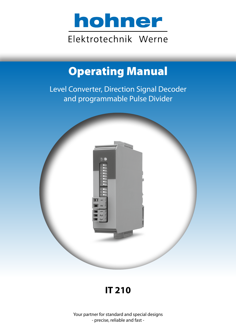

# Operating Manual

Level Converter, Direction Signal Decoder and programmable Pulse Divider



## **IT 210**

Your partner for standard and special designs - precise, reliable and fast -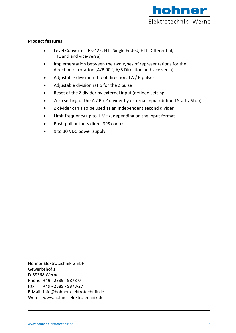

#### **Product features:**

- Level Converter (RS-422, HTL Single Ended, HTL Differential, TTL and and vice-versa)
- Implementation between the two types of representations for the direction of rotation (A/B 90 °, A/B Direction and vice versa)
- Adjustable division ratio of directional A / B pulses
- Adjustable division ratio for the Z pulse
- Reset of the Z divider by external input (defined setting)
- Zero setting of the A / B / Z divider by external input (defined Start / Stop)
- Z divider can also be used as an independent second divider
- Limit frequency up to 1 MHz, depending on the input format
- Push-pull outputs direct SPS control
- 9 to 30 VDC power supply

Hohner Elektrotechnik GmbH Gewerbehof 1 D-59368 Werne Phone +49 - 2389 - 9878-0 Fax +49 - 2389 - 9878-27 E-Mail info@hohner-elektrotechnik.de Web www.hohner-elektrotechnik.de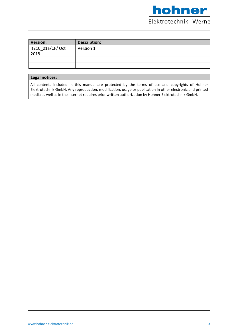

| Version:          | <b>Description:</b> |
|-------------------|---------------------|
| It210_01a/CF/ Oct | Version 1           |
| 2018              |                     |
|                   |                     |
|                   |                     |

#### **Legal notices:**

All contents included in this manual are protected by the terms of use and copyrights of Hohner Elektrotechnik GmbH. Any reproduction, modification, usage or publication in other electronic and printed media as well as in the internet requires prior written authorization by Hohner Elektrotechnik GmbH.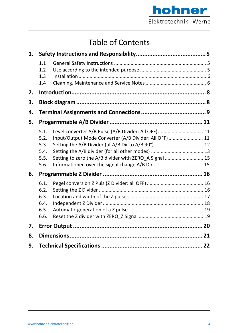

## Table of Contents

| 1. |                                              |                                                                                                                                                                                                                               |  |
|----|----------------------------------------------|-------------------------------------------------------------------------------------------------------------------------------------------------------------------------------------------------------------------------------|--|
|    | 1.1<br>1.2<br>1.3<br>1.4                     |                                                                                                                                                                                                                               |  |
| 2. |                                              |                                                                                                                                                                                                                               |  |
| 3. |                                              |                                                                                                                                                                                                                               |  |
| 4. |                                              |                                                                                                                                                                                                                               |  |
| 5. |                                              |                                                                                                                                                                                                                               |  |
|    | 5.1.<br>5.2.<br>5.3.<br>5.4.<br>5.5.<br>5.6. | Level converter A/B Pulse (A/B Divider: All OFF) 11<br>Input/Output Mode Converter (A/B Divider: All OFF)  11<br>Setting the A/B Divider (at A/B Dir to A/B 90°) 12<br>Setting to zero the A/B divider with ZERO_A Signal  15 |  |
| 6. |                                              |                                                                                                                                                                                                                               |  |
|    | 6.1.<br>6.2.<br>6.3.<br>6.4.<br>6.5.<br>6.6. |                                                                                                                                                                                                                               |  |
| 7. |                                              |                                                                                                                                                                                                                               |  |
| 8. |                                              |                                                                                                                                                                                                                               |  |
| 9. |                                              |                                                                                                                                                                                                                               |  |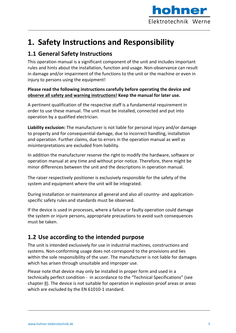

## **1. Safety Instructions and Responsibility**

### **1.1 General Safety Instructions**

This operation manual is a significant component of the unit and includes important rules and hints about the installation, function and usage. Non-observance can result in damage and/or impairment of the functions to the unit or the machine or even in injury to persons using the equipment!

#### **Please read the following instructions carefully before operating the device and observe all safety and warning instructions! Keep the manual for later use.**

A pertinent qualification of the respective staff is a fundamental requirement in order to use these manual. The unit must be installed, connected and put into operation by a qualified electrician.

**Liability exclusion:** The manufacturer is not liable for personal injury and/or damage to property and for consequential damage, due to incorrect handling, installation and operation. Further claims, due to errors in the operation manual as well as misinterpretations are excluded from liability.

In addition the manufacturer reserve the right to modify the hardware, software or operation manual at any time and without prior notice. Therefore, there might be minor differences between the unit and the descriptions in operation manual.

The raiser respectively positioner is exclusively responsible for the safety of the system and equipment where the unit will be integrated.

During installation or maintenance all general and also all country- and applicationspecific safety rules and standards must be observed.

If the device is used in processes, where a failure or faulty operation could damage the system or injure persons, appropriate precautions to avoid such consequences must be taken.

### **1.2 Use according to the intended purpose**

The unit is intended exclusively for use in industrial machines, constructions and systems. Non-conforming usage does not correspond to the provisions and lies within the sole responsibility of the user. The manufacturer is not liable for damages which has arisen through unsuitable and improper use.

Please note that device may only be installed in proper form and used in a technically perfect condition - in accordance to the "Technical Specifications" (see chapter 8). The device is not suitable for operation in explosion-proof areas or areas which are excluded by the EN 61010-1 standard.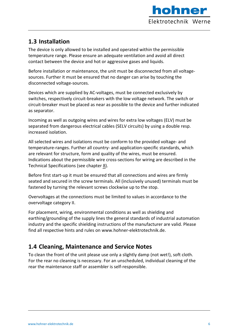

## **1.3 Installation**

The device is only allowed to be installed and operated within the permissible temperature range. Please ensure an adequate ventilation and avoid all direct contact between the device and hot or aggressive gases and liquids.

Before installation or maintenance, the unit must be disconnected from all voltagesources. Further it must be ensured that no danger can arise by touching the disconnected voltage-sources.

Devices which are supplied by AC-voltages, must be connected exclusively by switches, respectively circuit-breakers with the low voltage network. The switch or circuit-breaker must be placed as near as possible to the device and further indicated as separator.

Incoming as well as outgoing wires and wires for extra low voltages (ELV) must be separated from dangerous electrical cables (SELV circuits) by using a double resp. increased isolation.

All selected wires and isolations must be conform to the provided voltage- and temperature-ranges. Further all country- and application-specific standards, which are relevant for structure, form and quality of the wires, must be ensured. Indications about the permissible wire cross-sections for wiring are described in the Technical Specifications (see chapter 8).

Before first start-up it must be ensured that all connections and wires are firmly seated and secured in the screw terminals. All (inclusively unused) terminals must be fastened by turning the relevant screws clockwise up to the stop.

Overvoltages at the connections must be limited to values in accordance to the overvoltage category II.

For placement, wiring, environmental conditions as well as shielding and earthing/grounding of the supply lines the general standards of industrial automation industry and the specific shielding instructions of the manufacturer are valid. Please find all respective hints and rules on www.hohner-elektrotechnik.de.

## **1.4 Cleaning, Maintenance and Service Notes**

To clean the front of the unit please use only a slightly damp (not wet!), soft cloth. For the rear no cleaning is necessary. For an unscheduled, individual cleaning of the rear the maintenance staff or assembler is self-responsible.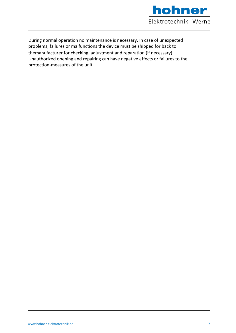

During normal operation no maintenance is necessary. In case of unexpected problems, failures or malfunctions the device must be shipped for back to themanufacturer for checking, adjustment and reparation (if necessary). Unauthorized opening and repairing can have negative effects or failures to the protection-measures of the unit.

It210  $\sim$  1001  $\sim$  1001  $\sim$  1001  $\sim$  2101  $\sim$  2101  $\sim$  2101  $\sim$  2101  $\sim$  2101  $\sim$  2101  $\sim$  2101  $\sim$  2101  $\sim$  2101  $\sim$  2101  $\sim$  2101  $\sim$  2101  $\sim$  2101  $\sim$  2101  $\sim$  2101  $\sim$  2101  $\sim$  2101  $\sim$  2101  $\sim$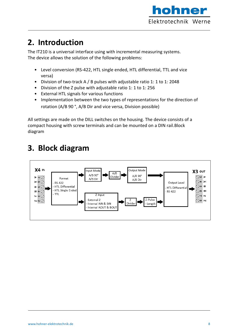

## **2. Introduction**

The IT210 is a universal interface using with incremental measuring systems. The device allows the solution of the following problems:

- Level conversion (RS-422, HTL single ended, HTL differential, TTL and vice versa)
- Division of two-track A / B pulses with adjustable ratio 1: 1 to 1: 2048
- Division of the Z pulse with adjustable ratio 1: 1 to 1: 256
- External HTL signals for various functions
- Implementation between the two types of representations for the direction of rotation (A/B 90 °, A/B Dir and vice versa, Division possible)

All settings are made on the DILL switches on the housing. The device consists of a compact housing with screw terminals and can be mounted on a DIN rail.Block diagram

## **3. Block diagram**

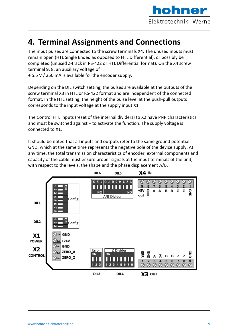

## **4. Terminal Assignments and Connections**

The input pulses are connected to the screw terminals X4. The unused inputs must remain open (HTL Single Ended as opposed to HTL Differential), or possibly be completed (unused Z-track in RS-422 or HTL Differential format). On the X4 screw terminal 9, 8, an auxiliary voltage of

+ 5.5 V / 250 mA is available for the encoder supply.

Depending on the DIL switch setting, the pulses are available at the outputs of the screw terminal X3 in HTL or RS-422 format and are independent of the connected format. In the HTL setting, the height of the pulse level at the push-pull outputs corresponds to the input voltage at the supply input X1.

The Control HTL inputs (reset of the internal dividers) to X2 have PNP characteristics and must be switched against + to activate the function. The supply voltage is connected to X1.

It should be noted that all inputs and outputs refer to the same ground potential GND, which at the same time represents the negative pole of the device supply. At any time, the total transmission characteristics of encoder, external components and capacity of the cable must ensure proper signals at the input terminals of the unit, with respect to the levels, the shape and the phase displacement A/B.

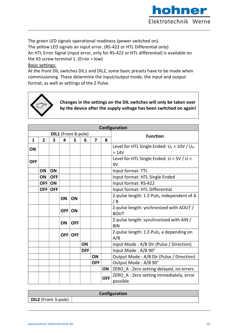

The green LED signals operational readiness (power switched on).

The yellow LED signals an input error. (RS-422 or HTL Differential only)

An HTL Error Signal (input error, only for RS-422 or HTL differential) is available on the X3 screw terminal 1. (Error = low)

#### Basic settings:

At the front DIL switches DIL1 and DIL2, some basic presets have to be made when commissioning. These determine the input/output mode, the input and output format, as well as settings of the Z Pulse.



**Changes in the settings on the DIL switches will only be taken over by the device after the supply voltage has been switched on again!**

|            |                |            |            |                     |            |                |            | Configuration                                 |  |  |  |  |  |
|------------|----------------|------------|------------|---------------------|------------|----------------|------------|-----------------------------------------------|--|--|--|--|--|
|            |                |            |            | DIL1 (Front 8-pole) |            |                |            | <b>Function</b>                               |  |  |  |  |  |
| 1          | $\overline{2}$ | 3          | 4          | 5.                  | 6          | $\overline{7}$ | 8          |                                               |  |  |  |  |  |
| ON         |                |            |            |                     |            |                |            | Level for HTL Single Ended: $U_L < 10V / U_H$ |  |  |  |  |  |
|            |                |            |            |                     |            |                |            | >14V                                          |  |  |  |  |  |
| <b>OFF</b> |                |            |            |                     |            |                |            | Level for HTL Single Ended: U < 5V / U >      |  |  |  |  |  |
|            |                |            |            |                     |            |                |            | 9V                                            |  |  |  |  |  |
|            | ON             | ON         |            |                     |            |                |            | Input format: TTL                             |  |  |  |  |  |
|            | ON             | <b>OFF</b> |            |                     |            |                |            | Input format: HTL Single Ended                |  |  |  |  |  |
|            | <b>OFF</b>     | ON         |            |                     |            |                |            | Input format: RS-422                          |  |  |  |  |  |
|            | <b>OFF</b>     | <b>OFF</b> |            |                     |            |                |            | Input format: HTL Differential                |  |  |  |  |  |
|            |                |            | ON         | ON                  |            |                |            | Z-pulse length: 1 Z-Puls, independent of A    |  |  |  |  |  |
|            |                |            |            |                     |            |                |            | /B                                            |  |  |  |  |  |
|            |                |            | <b>OFF</b> | ON                  |            |                |            | Z-pulse length: ynchronized with AOUT /       |  |  |  |  |  |
|            |                |            |            |                     |            |                |            | <b>BOUT</b>                                   |  |  |  |  |  |
|            |                |            | ON         | <b>OFF</b>          |            |                |            | Z-pulse length: synchronized with AIN /       |  |  |  |  |  |
|            |                |            |            |                     |            |                |            | <b>BIN</b>                                    |  |  |  |  |  |
|            |                |            | <b>OFF</b> | <b>OFF</b>          |            |                |            | Z-pulse length: 1 Z-Puls, a depending on      |  |  |  |  |  |
|            |                |            |            |                     |            |                |            | A/B                                           |  |  |  |  |  |
|            |                |            |            |                     | ON         |                |            | Input Mode: A/B Dir (Pulse / Direction)       |  |  |  |  |  |
|            |                |            |            |                     | <b>OFF</b> |                |            | Input Mode: A/B 90°                           |  |  |  |  |  |
|            |                |            |            |                     |            | ON             |            | Output Mode: A/B Dir (Pulse / Direction)      |  |  |  |  |  |
|            |                |            |            |                     |            | <b>OFF</b>     |            | Output Mode: A/B 90°                          |  |  |  |  |  |
|            |                |            |            |                     |            |                | ON         | ZERO_A : Zero setting delayed, no errors      |  |  |  |  |  |
|            |                |            |            |                     |            |                | <b>OFF</b> | ZERO_A : Zero setting immediately, error      |  |  |  |  |  |
|            |                |            |            |                     |            |                |            | possible                                      |  |  |  |  |  |

| Configuration              |  |  |  |  |  |  |  |  |
|----------------------------|--|--|--|--|--|--|--|--|
| <b>DIL2</b> (Front 3-pole) |  |  |  |  |  |  |  |  |
|                            |  |  |  |  |  |  |  |  |

It $2$ 10a $\pm$ 10a $\pm$ 10a $\pm$ 10a $\pm$ 10a  $\pm$ 10a  $\pm$ 10a  $\pm$ 10a  $\pm$ 10a  $\pm$ 10a  $\pm$ 10a  $\pm$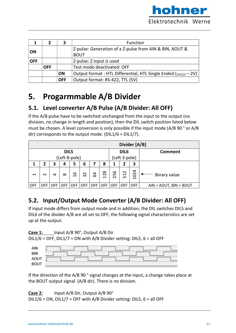

|            |            | 3          | Function                                                             |
|------------|------------|------------|----------------------------------------------------------------------|
|            |            |            | Z-pulse: Generation of a Z-pulse from AIN & BIN, AOUT &              |
| ∣ ON       |            |            | <b>BOUT</b>                                                          |
| <b>OFF</b> |            |            | Z-pulse: Z input is used                                             |
|            | <b>OFF</b> |            | Test mode deactivated: OFF                                           |
|            |            | ON         | Output format: HTL Differential, HTL Single Ended $(y_{X1(2)} - 2V)$ |
|            |            | <b>OFF</b> | Output format: RS-422, TTL (5V)                                      |

## **5. Progarmmable A/B Divider**

## **5.1. Level converter A/B Pulse (A/B Divider: All OFF)**

If the A/B pulse have to be switched unchanged from the input to the output (no division, no change in length and position), then the DIL switch position listed below must be chosen. A level conversion is only possible if the input mode (A/B 90 ° or A/B dir) corresponds to the output mode. (DIL1/6 = DIL1/7).

|                          | Divider [A/B] |      |            |               |            |            |            |                                |                     |            |                          |  |  |  |
|--------------------------|---------------|------|------------|---------------|------------|------------|------------|--------------------------------|---------------------|------------|--------------------------|--|--|--|
| DIL5                     |               |      |            |               |            |            |            |                                | DIL <sub>6</sub>    |            | Comment                  |  |  |  |
| (Left 8-pole)            |               |      |            |               |            |            |            |                                | (Left 3-pole)       |            |                          |  |  |  |
| 1                        | 2             | 3    | 4          | 5             | 6          |            | 8          | 1                              | 2                   | З          |                          |  |  |  |
| $\overline{\phantom{0}}$ | $\sim$        | 4    | $\infty$   | $\frac{9}{1}$ | 32         | 54         | 128        | م<br>ഗ<br>$\mathbf{\tilde{c}}$ | 2 <sub>2</sub><br>ഗ | 1024       | Binary value             |  |  |  |
| <b>OFF</b>               | OFF           | OFF. | <b>OFF</b> | <b>OFF</b>    | <b>OFF</b> | <b>OFF</b> | <b>OFF</b> | <b>OFF</b>                     | <b>OFF</b>          | <b>OFF</b> | $AIN = AOUT, BIN = BOUT$ |  |  |  |

## **5.2. Input/Output Mode Converter (A/B Divider: All OFF)**

If input mode differs from output mode and in addition, the DIL switches DIL5 and DIL6 of the divider A/B are all set to OFF, the following signal characteristics are set up at the output.

#### **Case 1:** Input A/B 90°, Output A/B Dir

DIL1/6 = OFF, DIL1/7 = ON with A/B Divider setting: DIL5, 6 = all OFF

| AIN         |  |
|-------------|--|
| <b>BIN</b>  |  |
| AOUT        |  |
| <b>BOUT</b> |  |

If the direction of the A/B 90 ° signal changes at the input, a change takes place at the BOUT output signal. (A/B dir). There is no division.

It  $\overline{\phantom{a}}$  and  $\overline{\phantom{a}}$  and  $\overline{\phantom{a}}$  and  $\overline{\phantom{a}}$  and  $\overline{\phantom{a}}$  and  $\overline{\phantom{a}}$  and  $\overline{\phantom{a}}$  and  $\overline{\phantom{a}}$  and  $\overline{\phantom{a}}$  and  $\overline{\phantom{a}}$  and  $\overline{\phantom{a}}$  and  $\overline{\phantom{a}}$  and  $\overline{\phantom{a}}$  and  $\overline{\phantom{a}}$ 

#### **Case 2:** Input A/B Dir, Output A/B 90°

DIL1/6 = ON, DIL1/7 = OFF with A/B Divider setting: DIL5, 6 = all OFF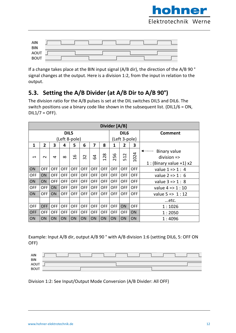

| AIN        |  |  |  |
|------------|--|--|--|
| <b>BIN</b> |  |  |  |
|            |  |  |  |
| AOUT       |  |  |  |

If a change takes place at the BIN input signal (A/B dir), the direction of the A/B 90 ° signal changes at the output. Here is a division 1:2, from the input in relation to the output.

## **5.3. Setting the A/B Divider (at A/B Dir to A/B 90°)**

The division ratio for the A/B pulses is set at the DIL switches DIL5 and DIL6. The switch positions use a binary code like shown in the subsequent list. (DIL1/6 = ON,  $DIL1/7 = OFF$ ).

|                                | Divider [A/B]  |            |            |               |                          |                         |            |               |                  |                                          |                             |               |  |
|--------------------------------|----------------|------------|------------|---------------|--------------------------|-------------------------|------------|---------------|------------------|------------------------------------------|-----------------------------|---------------|--|
|                                |                |            | DIL5       |               |                          |                         |            |               | DIL <sub>6</sub> |                                          | <b>Comment</b>              |               |  |
| (Left 8-pole)                  |                |            |            |               |                          |                         |            | (Left 3-pole) |                  |                                          |                             |               |  |
| 1                              | $\overline{2}$ | 3          | 4          | 5             | 6                        | $\overline{\mathbf{z}}$ | 8          | 1             | 2                | 3                                        |                             |               |  |
|                                |                |            |            |               |                          |                         |            |               |                  |                                          | <b>Binary value</b>         |               |  |
| $\mathbf{\mathbf{\mathsf{H}}}$ | $\sim$         | 4          | $\infty$   | $\frac{6}{1}$ | $\sim$<br>$\overline{m}$ | 54                      | 128        | ဖ             | 25               | $\sim$<br>$\overline{\phantom{0}}$<br>ம் | 1024                        | $division$ => |  |
|                                |                |            |            |               |                          |                         |            |               |                  |                                          | 1 : (Binary value +1) $x2$  |               |  |
| ON                             | <b>OFF</b>     | <b>OFF</b> | <b>OFF</b> | <b>OFF</b>    | <b>OFF</b>               | <b>OFF</b>              | <b>OFF</b> | <b>OFF</b>    | <b>OFF</b>       | <b>OFF</b>                               | value $1 = 1 : 4$           |               |  |
| <b>OFF</b>                     | ON             | <b>OFF</b> | <b>OFF</b> | <b>OFF</b>    | <b>OFF</b>               | <b>OFF</b>              | <b>OFF</b> | <b>OFF</b>    | <b>OFF</b>       | <b>OFF</b>                               | value $2 \Rightarrow 1 : 6$ |               |  |
| ON                             | ON             | <b>OFF</b> | <b>OFF</b> | <b>OFF</b>    | <b>OFF</b>               | <b>OFF</b>              | <b>OFF</b> | <b>OFF</b>    | <b>OFF</b>       | <b>OFF</b>                               | value $3 \Rightarrow 1 : 8$ |               |  |
| <b>OFF</b>                     | <b>OFF</b>     | ON         | <b>OFF</b> | <b>OFF</b>    | <b>OFF</b>               | <b>OFF</b>              | <b>OFF</b> | <b>OFF</b>    | <b>OFF</b>       | <b>OFF</b>                               | value $4 = 1 : 10$          |               |  |
| ON                             | <b>OFF</b>     | ON         | <b>OFF</b> | <b>OFF</b>    | <b>OFF</b>               | <b>OFF</b>              | <b>OFF</b> | <b>OFF</b>    | <b>OFF</b>       | <b>OFF</b>                               | value $5 = > 1 : 12$        |               |  |
|                                |                |            |            |               |                          |                         |            |               |                  |                                          | …etc.                       |               |  |
| <b>OFF</b>                     | <b>OFF</b>     | <b>OFF</b> | <b>OFF</b> | <b>OFF</b>    | <b>OFF</b>               | <b>OFF</b>              | <b>OFF</b> | <b>OFF</b>    | ON               | <b>OFF</b>                               | 1:1026                      |               |  |
| <b>OFF</b>                     | <b>OFF</b>     | <b>OFF</b> | <b>OFF</b> | <b>OFF</b>    | <b>OFF</b>               | <b>OFF</b>              | <b>OFF</b> | <b>OFF</b>    | <b>OFF</b>       | <b>ON</b>                                | 1:2050                      |               |  |
| ON                             | ON             | ON         | ON         | ON            | ON                       | ON                      | ON         | ON            | ON               | ON                                       | 1:4096                      |               |  |

Example: Input A/B dir, output A/B 90 ° with A/B division 1:6 (setting DIL6, 5: OFF ON OFF)

| AIN         |  |  |  |
|-------------|--|--|--|
| BIN         |  |  |  |
| AOUT        |  |  |  |
| <b>BOUT</b> |  |  |  |

Division 1:2: See Input/Output Mode Conversion (A/B Divider: All OFF)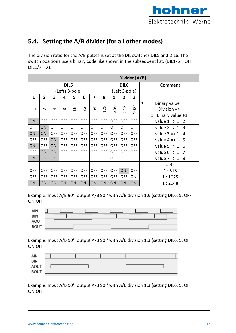

## **5.4. Setting the A/B divider (for all other modes)**

The division ratio for the A/B pulses is set at the DIL switches DIL5 and DIL6. The switch positions use a binary code like shown in the subsequent list. (DIL1/6 = OFF,  $DIL1/7 = X$ ).

|                                         |                |                |            |               |            |                         |                                |                  |                                         | Divider [A/B] |                                               |
|-----------------------------------------|----------------|----------------|------------|---------------|------------|-------------------------|--------------------------------|------------------|-----------------------------------------|---------------|-----------------------------------------------|
|                                         |                |                | DIL5       |               |            |                         |                                | DIL <sub>6</sub> |                                         |               | <b>Comment</b>                                |
| (Lefts 8-pole)                          |                |                |            |               |            |                         |                                | (Left 3-pole)    |                                         |               |                                               |
| 1                                       | $\overline{2}$ | 3              | 4          | 5             | 6          | $\overline{\mathbf{z}}$ | 8                              | 1                | 2                                       | 3             |                                               |
| $\mathbf{\mathbf{\mathbf{\mathsf{H}}}}$ | $\sim$         | $\overline{a}$ | $\infty$   | $\frac{9}{1}$ | 32         | 54                      | 28<br>$\overline{\phantom{0}}$ | 256              | $\sim$<br>$\overline{\phantom{0}}$<br>ഥ | 4<br>102      | <b>Binary value</b><br>Division $\Rightarrow$ |
|                                         |                |                |            |               |            |                         |                                |                  |                                         |               | 1 : Binary value $+1$                         |
| ON                                      | <b>OFF</b>     | <b>OFF</b>     | <b>OFF</b> | <b>OFF</b>    | <b>OFF</b> | <b>OFF</b>              | <b>OFF</b>                     | <b>OFF</b>       | <b>OFF</b>                              | <b>OFF</b>    | value $1 = > 1 : 2$                           |
| <b>OFF</b>                              | ON             | <b>OFF</b>     | <b>OFF</b> | <b>OFF</b>    | <b>OFF</b> | <b>OFF</b>              | <b>OFF</b>                     | <b>OFF</b>       | <b>OFF</b>                              | <b>OFF</b>    | value $2 = > 1 : 3$                           |
| <b>ON</b>                               | ON             | <b>OFF</b>     | <b>OFF</b> | <b>OFF</b>    | <b>OFF</b> | <b>OFF</b>              | <b>OFF</b>                     | <b>OFF</b>       | <b>OFF</b>                              | <b>OFF</b>    | value $3 = 1 : 4$                             |
| <b>OFF</b>                              | <b>OFF</b>     | <b>ON</b>      | <b>OFF</b> | <b>OFF</b>    | <b>OFF</b> | <b>OFF</b>              | <b>OFF</b>                     | <b>OFF</b>       | <b>OFF</b>                              | <b>OFF</b>    | value $4 \Rightarrow 1:5$                     |
| ON                                      | <b>OFF</b>     | <b>ON</b>      | <b>OFF</b> | <b>OFF</b>    | <b>OFF</b> | <b>OFF</b>              | <b>OFF</b>                     | <b>OFF</b>       | <b>OFF</b>                              | <b>OFF</b>    | value $5 = 1:6$                               |
| <b>OFF</b>                              | ON             | ON             | <b>OFF</b> | <b>OFF</b>    | <b>OFF</b> | <b>OFF</b>              | <b>OFF</b>                     | <b>OFF</b>       | <b>OFF</b>                              | <b>OFF</b>    | value $6 = > 1 : 7$                           |
| ON                                      | ON             | <b>ON</b>      | <b>OFF</b> | <b>OFF</b>    | <b>OFF</b> | <b>OFF</b>              | <b>OFF</b>                     | <b>OFF</b>       | <b>OFF</b>                              | <b>OFF</b>    | value $7 = 1:8$                               |
|                                         |                |                |            |               |            |                         |                                |                  |                                         |               | etc.                                          |
| <b>OFF</b>                              | <b>OFF</b>     | <b>OFF</b>     | <b>OFF</b> | <b>OFF</b>    | <b>OFF</b> | <b>OFF</b>              | <b>OFF</b>                     | <b>OFF</b>       | ON                                      | <b>OFF</b>    | 1:513                                         |
| <b>OFF</b>                              | <b>OFF</b>     | <b>OFF</b>     | <b>OFF</b> | <b>OFF</b>    | <b>OFF</b> | <b>OFF</b>              | <b>OFF</b>                     | <b>OFF</b>       | <b>OFF</b>                              | ON            | 1:1025                                        |
| ON                                      | ON             | ON             | ON         | ON            | <b>ON</b>  | ON                      | ON                             | ON               | ON                                      | ON            | 1:2048                                        |

Example: Input A/B 90°, output A/B 90 ° with A/B division 1:6 (setting DIL6, 5: OFF ON OFF

| AIN         |  |
|-------------|--|
| <b>BIN</b>  |  |
| <b>AOUT</b> |  |
| <b>BOUT</b> |  |

Example: Input A/B 90°, output A/B 90 ° with A/B division 1:3 (setting DIL6, 5: OFF ON OFF

| AIN         |  |  |  |
|-------------|--|--|--|
| <b>BIN</b>  |  |  |  |
|             |  |  |  |
| AOUT        |  |  |  |
| <b>BOUT</b> |  |  |  |

Example: Input A/B 90°, output A/B 90 ° with A/B division 1:3 (setting DIL6, 5: OFF ON OFF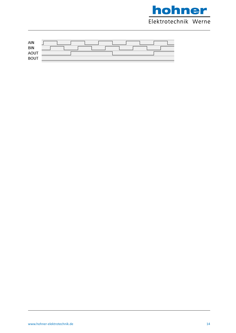



-20 Page 13 / 21

It210\_01a\_oi\_e.docx / January / January / January / January / January / January / January / January / January /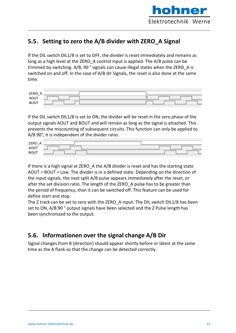

### **5.5. Setting to zero the A/B divider with ZERO\_A Signal**

If the DIL switch DIL1/8 is set to OFF, the divider is reset immediately and remains as long as a high level at the ZERO\_A control input is applied. The A/B pulse can be trimmed by switching. A/B, 90 ° signals can cause illegal states when the ZERO\_A is switched on and off. In the case of A/B dir Signals, the reset is also done at the same time.

| <b>ZERO</b> |  |  |  |
|-------------|--|--|--|
| $-$<br>AOUT |  |  |  |
| <b>BOUT</b> |  |  |  |

If the DIL switch DIL1/8 is set to ON, the divider will be reset in the zero phase of the output signals AOUT and BOUT and will remain as long as the signal is attached. This prevents the miscounting of subsequent circuits. This function can only be applied to A/B 90°, it is independent of the divider ratio.

| $ZERO$ <sub>-</sub> |  |
|---------------------|--|
| AOUT                |  |
| <b>BOUT</b>         |  |

If there is a high signal at ZERO\_A the A/B divider is reset and has the starting state AOUT = BOUT = Low. The divider is in a defined state. Depending on the direction of the input signals, the next split A/B pulse appears immediately after the reset, or after the set division ratio. The length of the ZERO A pulse has to be greater than the period of frequency, than it can be switched off. This feature can be used for define start and stop.

The Z track can be set to zero with the ZERO\_A input. The DIL switch DIL1/8 has been set to ON, A/B 90 ° output signals have been selected and the Z Pulse length has been synchronized to the output.

### **5.6. Informationen over the signal change A/B Dir**

Signal changes from B (direction) should appear shortly before or latest at the same time as the A flank so that the change can be detected correctly.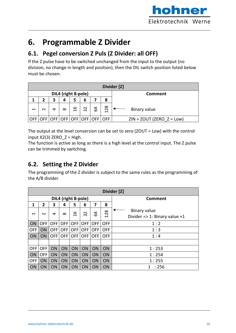

## **6. Programmable Z Divider**

### **6.1. Pegel conversion Z Puls (Z Divider: all OFF)**

If the Z pulse have to be switched unchanged from the input to the output (no division, no change in length and position), then the DIL switch position listed below must be chosen.

|                          | Divider [Z] |   |          |               |    |   |                                     |                             |
|--------------------------|-------------|---|----------|---------------|----|---|-------------------------------------|-----------------------------|
| DIL4 (right 8-pole)      |             |   |          |               |    |   |                                     | <b>Comment</b>              |
|                          |             | 3 | 4        |               | 6  |   | 8                                   |                             |
| $\overline{\phantom{0}}$ | $\sim$      | 4 | $\infty$ | $\frac{6}{1}$ | 32 | 3 | $\infty$<br>$\overline{2}$          | Binary value                |
|                          |             |   |          |               |    |   | OFF OFF OFF OFF OFF OFF OFF OFF OFF | $ZIN = ZOUT (ZERO Z = Low)$ |

The output at the level conversion can be set to zero (ZOUT = Low) with the control input  $X2(3)$  ZERO  $Z = High$ .

The function is active as long as there is a high level at the control input. The Z pulse can be trimmed by switching.

## **6.2. Setting the Z Divider**

The programming of the Z divider is subject to the same rules as the programming of the A/B divider.

|                                         | Divider [Z]    |            |            |                                                                    |            |           |                                         |                                   |  |
|-----------------------------------------|----------------|------------|------------|--------------------------------------------------------------------|------------|-----------|-----------------------------------------|-----------------------------------|--|
|                                         |                |            |            | DIL4 (right 8-pole)                                                |            |           |                                         | <b>Comment</b>                    |  |
| 1                                       | $\overline{2}$ | 3          | 4          | 5                                                                  | 6          | 7         | 8                                       |                                   |  |
| $\mathbf{\mathbf{\mathbf{\mathsf{H}}}}$ | $\sim$         | 4          | $\infty$   | م                                                                  | $\sim$     | 3         | 28                                      | <b>Binary value</b>               |  |
|                                         |                |            |            | $\mathbf{\mathbf{\mathbf{\mathbf{\mathbf{\mathbf{\mathbf{-}}}}}}}$ | $\sim$     |           | $\mathbf{\mathbf{\mathbf{\mathsf{H}}}}$ | Divider = $> 1$ : Binary value +1 |  |
| ON                                      | <b>OFF</b>     | <b>OFF</b> | <b>OFF</b> | <b>OFF</b>                                                         | <b>OFF</b> | OFF I     | <b>OFF</b>                              | 1:2                               |  |
| <b>OFF</b>                              | <b>ON</b>      | <b>OFF</b> | <b>OFF</b> | <b>OFF</b>                                                         | <b>OFF</b> | OFF I     | <b>OFF</b>                              | 1:3                               |  |
| ON                                      | ON             | <b>OFF</b> | <b>OFF</b> |                                                                    | OFF OFF    | OFF I     | <b>OFF</b>                              | 1:4                               |  |
|                                         |                |            |            |                                                                    |            |           |                                         |                                   |  |
| <b>OFF</b>                              | <b>OFF</b>     | <b>ON</b>  | ON         | ON                                                                 | <b>ON</b>  | <b>ON</b> | ON                                      | 1:253                             |  |
| ON                                      | <b>OFF</b>     | ON         | ON         | ON                                                                 | ON         | ON        | ON                                      | 1:254                             |  |
| <b>OFF</b>                              | ON             | <b>ON</b>  | ON         | ON                                                                 | ON         | ON        | ON                                      | 1:255                             |  |
| ON                                      | ON             | <b>ON</b>  | ON         | ON                                                                 | <b>ON</b>  | <b>ON</b> | ON                                      | :256                              |  |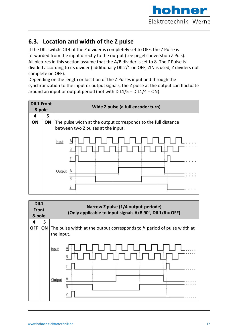

### **6.3. Location and width of the Z pulse**

If the DIL switch DIL4 of the Z divider is completely set to OFF, the Z Pulse is forwarded from the input directly to the output (see pegel converstion Z Puls). All pictures in this section assume that the A/B divider is set to 8. The Z Pulse is divided according to its divider (additionally DIL2/1 on OFF, ZIN is used, Z dividers not complete on OFF).

Depending on the length or location of the Z Pulses input and through the synchronization to the input or output signals, the Z pulse at the output can fluctuate around an input or output period (not with DIL1/5 = DIL1/4 = ON).

| <b>DIL1 Front</b> |    | Wide Z pulse (a full encoder turn)                                                                                                                               |
|-------------------|----|------------------------------------------------------------------------------------------------------------------------------------------------------------------|
| 8-pole            |    |                                                                                                                                                                  |
| 4                 | 5  |                                                                                                                                                                  |
| ON                | ON | The pulse width at the output corresponds to the full distance<br>between two Z pulses at the input.<br>Input<br>T LITT LITT L<br>1   [<br>B<br>Output<br>А<br>В |

| DIL1<br>Front<br>8-pole |    | Narrow Z pulse (1/4 output-periode)<br>(Only applicable to input signals A/B 90°, DIL1/6 = OFF)   |
|-------------------------|----|---------------------------------------------------------------------------------------------------|
| 4                       | 5  |                                                                                                   |
| <b>OFF</b>              | ON | The pulse width at the output corresponds to $\frac{1}{2}$ period of pulse width at<br>the input. |
|                         |    | <b>Input</b>                                                                                      |
|                         |    | Output<br>R                                                                                       |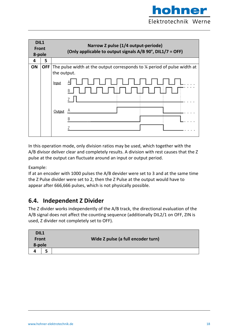

| DIL1<br><b>Front</b><br>8-pole |            | Narrow Z pulse (1/4 output-periode)<br>(Only applicable to output signals A/B 90°, DIL1/7 = OFF) |  |
|--------------------------------|------------|--------------------------------------------------------------------------------------------------|--|
| 4                              | 5          |                                                                                                  |  |
| <b>ON</b>                      | <b>OFF</b> | The pulse width at the output corresponds to % period of pulse width at<br>the output.<br>Input  |  |
|                                |            | 7<br>Output                                                                                      |  |

In this operation mode, only division ratios may be used, which together with the A/B divisor deliver clear and completely results. A division with rest causes that the Z pulse at the output can fluctuate around an input or output period.

#### Example:

If at an encoder with 1000 pulses the A/B devider were set to 3 and at the same time the Z Pulse divider were set to 2, then the Z Pulse at the output would have to appear after 666,666 pulses, which is not physically possible.

### **6.4. Independent Z Divider**

The Z divider works independently of the A/B track, the directional evaluation of the A/B signal does not affect the counting sequence (additionally DIL2/1 on OFF, ZIN is used, Z divider not completely set to OFF).

| DIL1         |  |                                    |
|--------------|--|------------------------------------|
| <b>Front</b> |  | Wide Z pulse (a full encoder turn) |
| 8-pole       |  |                                    |
|              |  |                                    |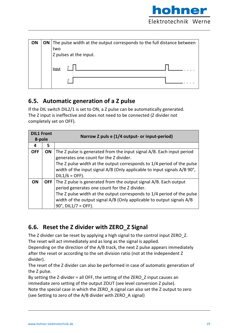

| ON | <b>ON</b> The pulse width at the output corresponds to the full distance between |
|----|----------------------------------------------------------------------------------|
|    | two                                                                              |
|    | Z pulses at the input.                                                           |
|    | Input                                                                            |
|    |                                                                                  |

### **6.5. Automatic generation of a Z pulse**

If the DIL switch DIL2/1 is set to ON, a Z pulse can be automatically generated. The Z input is ineffective and does not need to be connected (Z divider not completely set on OFF).

| <b>DIL1 Front</b><br>8-pole |           | Narrow Z puls e (1/4 output- or input-period)                                                                                                                                                                                                                                                                       |
|-----------------------------|-----------|---------------------------------------------------------------------------------------------------------------------------------------------------------------------------------------------------------------------------------------------------------------------------------------------------------------------|
| 4                           | 5         |                                                                                                                                                                                                                                                                                                                     |
| <b>OFF</b>                  | <b>ON</b> | The Z pulse is generated from the input signal A/B. Each input period<br>generates one count for the Z divider.<br>The Z pulse width at the output corresponds to 1/4 period of the pulse<br>width of the input signal A/B (Only applicable to input signals A/B 90°,<br>$DIL1/6 = OFF$ ).                          |
| ON                          |           | <b>OFF</b> The Z pulse is generated from the output signal $A/B$ . Each output<br>period generates one count for the Z divider.<br>The Z pulse width at the output corresponds to 1/4 period of the pulse<br>width of the output signal A/B (Only applicable to output signals A/B<br>$90^{\circ}$ , DIL1/7 = OFF). |

## **6.6. Reset the Z divider with ZERO\_Z Signal**

The Z divider can be reset by applying a high signal to the control input ZERO\_Z. The reset will act immediately and as long as the signal is applied.

Depending on the direction of the A/B track, the next Z pulse appears immediately after the reset or according to the set division ratio (not at the independent Z divider).

The reset of the Z divider can also be performed in case of automatic generation of the Z pulse.

By setting the Z-divider = all OFF, the setting of the ZERO\_Z input causes an immediate zero setting of the output ZOUT (see level conversion Z pulse). Note the special case in which the ZERO\_A signal can also set the Z output to zero (see Setting to zero of the A/B divider with ZERO\_A signal)

It  $\overline{\phantom{a}}$  and  $\overline{\phantom{a}}$  and  $\overline{\phantom{a}}$  and  $\overline{\phantom{a}}$  and  $\overline{\phantom{a}}$  and  $\overline{\phantom{a}}$  and  $\overline{\phantom{a}}$  and  $\overline{\phantom{a}}$  and  $\overline{\phantom{a}}$  and  $\overline{\phantom{a}}$  and  $\overline{\phantom{a}}$  and  $\overline{\phantom{a}}$  and  $\overline{\phantom{a}}$  and  $\overline{\phantom{a}}$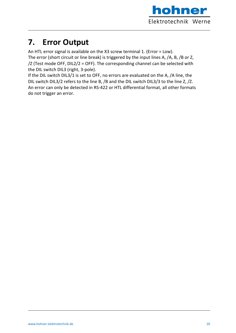

## **7. Error Output**

An HTL error signal is available on the X3 screw terminal 1. (Error = Low).

The error (short circuit or line break) is triggered by the input lines A, /A, B, /B or Z, /Z (Test mode OFF, DIL2/2 = OFF). The corresponding channel can be selected with the DIL switch DIL3 (right, 3-pole).

If the DIL switch DIL3/1 is set to OFF, no errors are evaluated on the A, /A line, the DIL switch DIL3/2 refers to the line B, /B and the DIL switch DIL3/3 to the line Z, /Z. An error can only be detected in RS-422 or HTL differential format, all other formats do not trigger an error.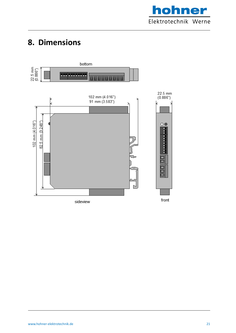

## **8. Dimensions**